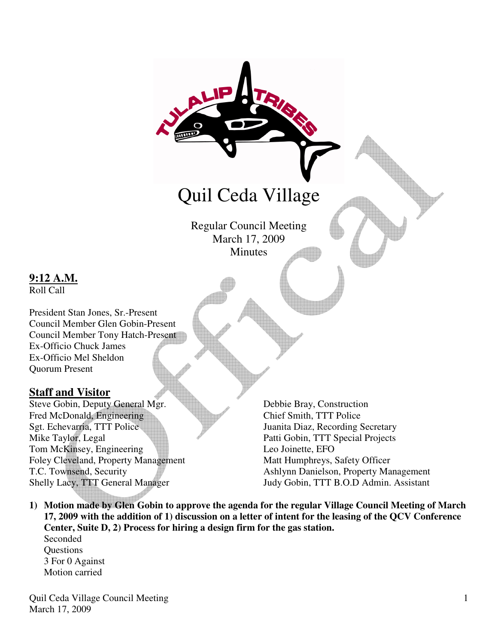

Shelly Lacy, TTT General Manager Judy Gobin, TTT B.O.D Admin. Assistant

**1) Motion made by Glen Gobin to approve the agenda for the regular Village Council Meeting of March 17, 2009 with the addition of 1) discussion on a letter of intent for the leasing of the QCV Conference Center, Suite D, 2) Process for hiring a design firm for the gas station.**  Seconded

**Questions** 3 For 0 Against Motion carried

**9:12 A.M.** Roll Call

Ex-Officio Chuck James Ex-Officio Mel Sheldon

Quorum Present

**Staff and Visitor**

Quil Ceda Village Council Meeting March 17, 2009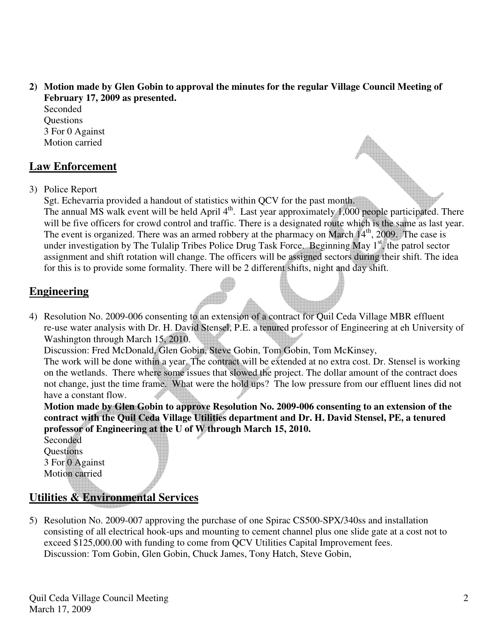**2) Motion made by Glen Gobin to approval the minutes for the regular Village Council Meeting of February 17, 2009 as presented.** 

Seconded **Ouestions** 3 For 0 Against Motion carried

## **Law Enforcement**

3) Police Report

Sgt. Echevarria provided a handout of statistics within QCV for the past month. The annual MS walk event will be held April 4<sup>th</sup>. Last year approximately 1,000 people participated. There will be five officers for crowd control and traffic. There is a designated route which is the same as last year. The event is organized. There was an armed robbery at the pharmacy on March  $14<sup>th</sup>$ , 2009. The case is under investigation by The Tulalip Tribes Police Drug Task Force. Beginning May 1<sup>st</sup>, the patrol sector assignment and shift rotation will change. The officers will be assigned sectors during their shift. The idea for this is to provide some formality. There will be 2 different shifts, night and day shift.

## **Engineering**

4) Resolution No. 2009-006 consenting to an extension of a contract for Quil Ceda Village MBR effluent re-use water analysis with Dr. H. David Stensel, P.E. a tenured professor of Engineering at eh University of Washington through March 15, 2010.

Discussion: Fred McDonald, Glen Gobin, Steve Gobin, Tom Gobin, Tom McKinsey,

 The work will be done within a year. The contract will be extended at no extra cost. Dr. Stensel is working on the wetlands. There where some issues that slowed the project. The dollar amount of the contract does not change, just the time frame. What were the hold ups? The low pressure from our effluent lines did not have a constant flow.

 **Motion made by Glen Gobin to approve Resolution No. 2009-006 consenting to an extension of the contract with the Quil Ceda Village Utilities department and Dr. H. David Stensel, PE, a tenured professor of Engineering at the U of W through March 15, 2010.** 

Seconded **Questions**  3 For 0 Against Motion carried

# **Utilities & Environmental Services**

5) Resolution No. 2009-007 approving the purchase of one Spirac CS500-SPX/340ss and installation consisting of all electrical hook-ups and mounting to cement channel plus one slide gate at a cost not to exceed \$125,000.00 with funding to come from QCV Utilities Capital Improvement fees. Discussion: Tom Gobin, Glen Gobin, Chuck James, Tony Hatch, Steve Gobin,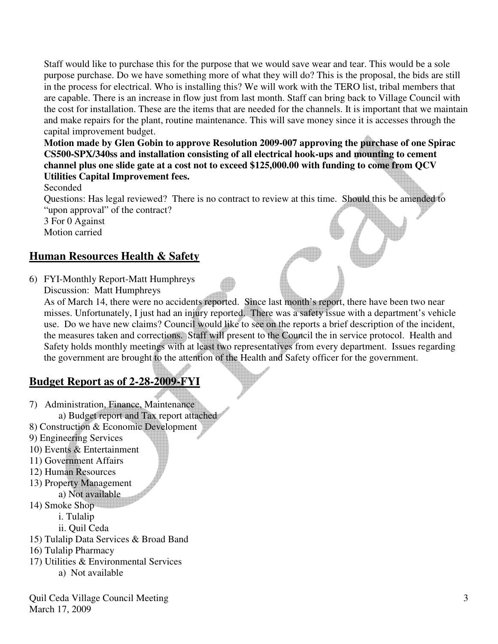Staff would like to purchase this for the purpose that we would save wear and tear. This would be a sole purpose purchase. Do we have something more of what they will do? This is the proposal, the bids are still in the process for electrical. Who is installing this? We will work with the TERO list, tribal members that are capable. There is an increase in flow just from last month. Staff can bring back to Village Council with the cost for installation. These are the items that are needed for the channels. It is important that we maintain and make repairs for the plant, routine maintenance. This will save money since it is accesses through the capital improvement budget.

 **Motion made by Glen Gobin to approve Resolution 2009-007 approving the purchase of one Spirac CS500-SPX/340ss and installation consisting of all electrical hook-ups and mounting to cement channel plus one slide gate at a cost not to exceed \$125,000.00 with funding to come from QCV Utilities Capital Improvement fees.** 

Seconded

 Questions: Has legal reviewed? There is no contract to review at this time. Should this be amended to "upon approval" of the contract?

 3 For 0 Against Motion carried

### **Human Resources Health & Safety**

6) FYI-Monthly Report-Matt Humphreys

Discussion: Matt Humphreys

As of March 14, there were no accidents reported. Since last month's report, there have been two near misses. Unfortunately, I just had an injury reported. There was a safety issue with a department's vehicle use. Do we have new claims? Council would like to see on the reports a brief description of the incident, the measures taken and corrections. Staff will present to the Council the in service protocol. Health and Safety holds monthly meetings with at least two representatives from every department. Issues regarding the government are brought to the attention of the Health and Safety officer for the government.

### **Budget Report as of 2-28-2009-FYI**

7) Administration, Finance, Maintenance a) Budget report and Tax report attached

8) Construction & Economic Development

- 9) Engineering Services
- 10) Events & Entertainment
- 11) Government Affairs
- 12) Human Resources
- 13) Property Management
- a) Not available
- 14) Smoke Shop
	- i. Tulalip
	- ii. Quil Ceda
- 15) Tulalip Data Services & Broad Band
- 16) Tulalip Pharmacy
- 17) Utilities & Environmental Services
	- a) Not available

Quil Ceda Village Council Meeting March 17, 2009